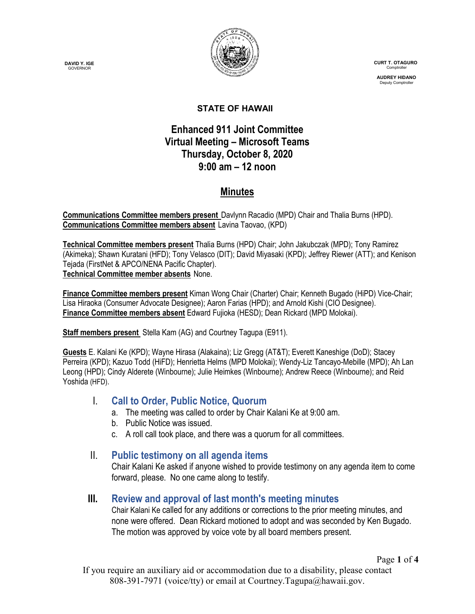**DAVID Y. IGE GOVERNOR** 



 **CURT T. OTAGURO** Comptrol

 **AUDREY HIDANO** Deputy Comptrol

#### **STATE OF HAWAII**

### **Enhanced 911 Joint Committee Virtual Meeting – Microsoft Teams Thursday, October 8, 2020 9:00 am – 12 noon**

# **Minutes**

**Communications Committee members present** Davlynn Racadio (MPD) Chair and Thalia Burns (HPD). **Communications Committee members absent** Lavina Taovao, (KPD)

**Technical Committee members present** Thalia Burns (HPD) Chair; John Jakubczak (MPD); Tony Ramirez (Akimeka); Shawn Kuratani (HFD); Tony Velasco (DIT); David Miyasaki (KPD); Jeffrey Riewer (ATT); and Kenison Tejada (FirstNet & APCO/NENA Pacific Chapter). **Technical Committee member absents** None.

**Finance Committee members present** Kiman Wong Chair (Charter) Chair; Kenneth Bugado (HiPD) Vice-Chair; Lisa Hiraoka (Consumer Advocate Designee); Aaron Farias (HPD); and Arnold Kishi (CIO Designee). **Finance Committee members absent** Edward Fujioka (HESD); Dean Rickard (MPD Molokai).

**Staff members present** Stella Kam (AG) and Courtney Tagupa (E911).

**Guests** E. Kalani Ke (KPD); Wayne Hirasa (Alakaina); Liz Gregg (AT&T); Everett Kaneshige (DoD); Stacey Perreira (KPD); Kazuo Todd (HiFD); Henrietta Helms (MPD Molokai); Wendy-Liz Tancayo-Mebille (MPD); Ah Lan Leong (HPD); Cindy Alderete (Winbourne); Julie Heimkes (Winbourne); Andrew Reece (Winbourne); and Reid Yoshida (HFD).

### I. **Call to Order, Public Notice, Quorum**

- a. The meeting was called to order by Chair Kalani Ke at 9:00 am.
- b. Public Notice was issued.
- c. A roll call took place, and there was a quorum for all committees.

### II. **Public testimony on all agenda items**

Chair Kalani Ke asked if anyone wished to provide testimony on any agenda item to come forward, please. No one came along to testify.

### **III. Review and approval of last month's meeting minutes**

Chair Kalani Ke called for any additions or corrections to the prior meeting minutes, and none were offered. Dean Rickard motioned to adopt and was seconded by Ken Bugado. The motion was approved by voice vote by all board members present.

Page **1** of **4**

If you require an auxiliary aid or accommodation due to a disability, please contact 808-391-7971 (voice/tty) or email at Courtney.Tagupa@hawaii.gov.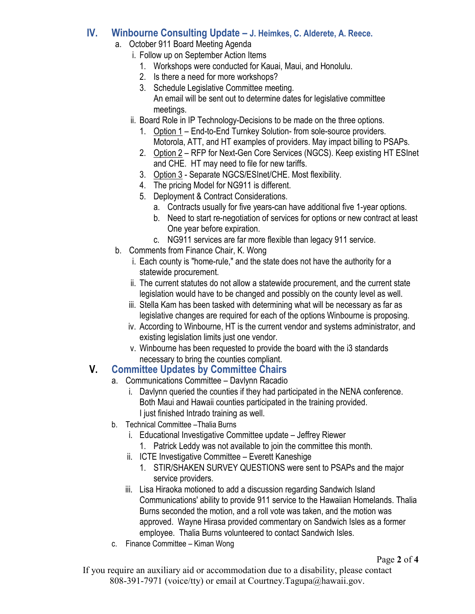### **IV. Winbourne Consulting Update – J. Heimkes, C. Alderete, A. Reece.**

- a. October 911 Board Meeting Agenda
	- i. Follow up on September Action Items
		- 1. Workshops were conducted for Kauai, Maui, and Honolulu.
		- 2. Is there a need for more workshops?
		- 3. Schedule Legislative Committee meeting. An email will be sent out to determine dates for legislative committee meetings.
	- ii. Board Role in IP Technology-Decisions to be made on the three options.
		- 1. Option 1 End-to-End Turnkey Solution- from sole-source providers. Motorola, ATT, and HT examples of providers. May impact billing to PSAPs.
		- 2. Option 2 RFP for Next-Gen Core Services (NGCS). Keep existing HT ESInet and CHE. HT may need to file for new tariffs.
		- 3. Option 3 Separate NGCS/ESInet/CHE. Most flexibility.
		- 4. The pricing Model for NG911 is different.
		- 5. Deployment & Contract Considerations.
			- a. Contracts usually for five years-can have additional five 1-year options.
			- b. Need to start re-negotiation of services for options or new contract at least One year before expiration.
			- c. NG911 services are far more flexible than legacy 911 service.
- b. Comments from Finance Chair, K. Wong
	- i. Each county is "home-rule," and the state does not have the authority for a statewide procurement.
	- ii. The current statutes do not allow a statewide procurement, and the current state legislation would have to be changed and possibly on the county level as well.
	- iii. Stella Kam has been tasked with determining what will be necessary as far as legislative changes are required for each of the options Winbourne is proposing.
	- iv. According to Winbourne, HT is the current vendor and systems administrator, and existing legislation limits just one vendor.
	- v. Winbourne has been requested to provide the board with the i3 standards necessary to bring the counties compliant.

## **V. Committee Updates by Committee Chairs**

- a. Communications Committee Davlynn Racadio
	- i. Davlynn queried the counties if they had participated in the NENA conference. Both Maui and Hawaii counties participated in the training provided. I just finished Intrado training as well.
- b. Technical Committee –Thalia Burns
	- i. Educational Investigative Committee update Jeffrey Riewer 1. Patrick Leddy was not available to join the committee this month.
	- ii. ICTE Investigative Committee Everett Kaneshige
		- 1. STIR/SHAKEN SURVEY QUESTIONS were sent to PSAPs and the major service providers.
	- iii. Lisa Hiraoka motioned to add a discussion regarding Sandwich Island Communications' ability to provide 911 service to the Hawaiian Homelands. Thalia Burns seconded the motion, and a roll vote was taken, and the motion was approved. Wayne Hirasa provided commentary on Sandwich Isles as a former employee. Thalia Burns volunteered to contact Sandwich Isles.
- c. Finance Committee Kiman Wong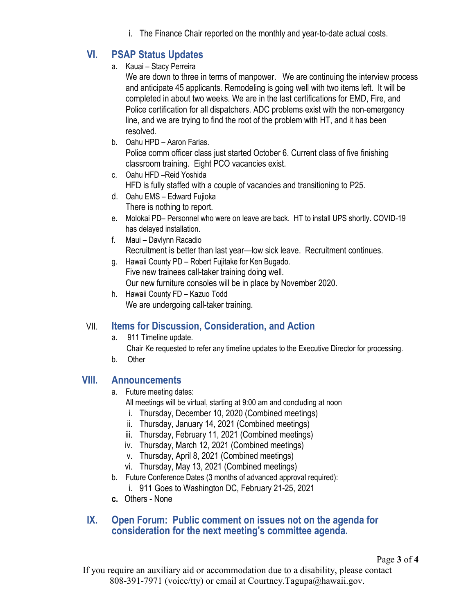i. The Finance Chair reported on the monthly and year-to-date actual costs.

# **VI. PSAP Status Updates**

a. Kauai – Stacy Perreira

We are down to three in terms of manpower. We are continuing the interview process and anticipate 45 applicants. Remodeling is going well with two items left. It will be completed in about two weeks. We are in the last certifications for EMD, Fire, and Police certification for all dispatchers. ADC problems exist with the non-emergency line, and we are trying to find the root of the problem with HT, and it has been resolved.

- b. Oahu HPD Aaron Farias. Police comm officer class just started October 6. Current class of five finishing classroom training. Eight PCO vacancies exist.
- c. Oahu HFD –Reid Yoshida HFD is fully staffed with a couple of vacancies and transitioning to P25.
- d. Oahu EMS Edward Fujioka There is nothing to report.
- e. Molokai PD– Personnel who were on leave are back. HT to install UPS shortly. COVID-19 has delayed installation.
- f. Maui Davlynn Racadio Recruitment is better than last year—low sick leave. Recruitment continues.
- g. Hawaii County PD Robert Fujitake for Ken Bugado. Five new trainees call-taker training doing well. Our new furniture consoles will be in place by November 2020.
- h. Hawaii County FD Kazuo Todd We are undergoing call-taker training.

## VII. **Items for Discussion, Consideration, and Action**

- a. 911 Timeline update. Chair Ke requested to refer any timeline updates to the Executive Director for processing.
- b. Other

### **VIII. Announcements**

- a. Future meeting dates:
	- All meetings will be virtual, starting at 9:00 am and concluding at noon
	- i. Thursday, December 10, 2020 (Combined meetings)
	- ii. Thursday, January 14, 2021 (Combined meetings)
	- iii. Thursday, February 11, 2021 (Combined meetings)
	- iv. Thursday, March 12, 2021 (Combined meetings)
	- v. Thursday, April 8, 2021 (Combined meetings)
	- vi. Thursday, May 13, 2021 (Combined meetings)
- b. Future Conference Dates (3 months of advanced approval required):
	- i. 911 Goes to Washington DC, February 21-25, 2021
- **c.** Others None

### **IX. Open Forum: Public comment on issues not on the agenda for consideration for the next meeting's committee agenda.**